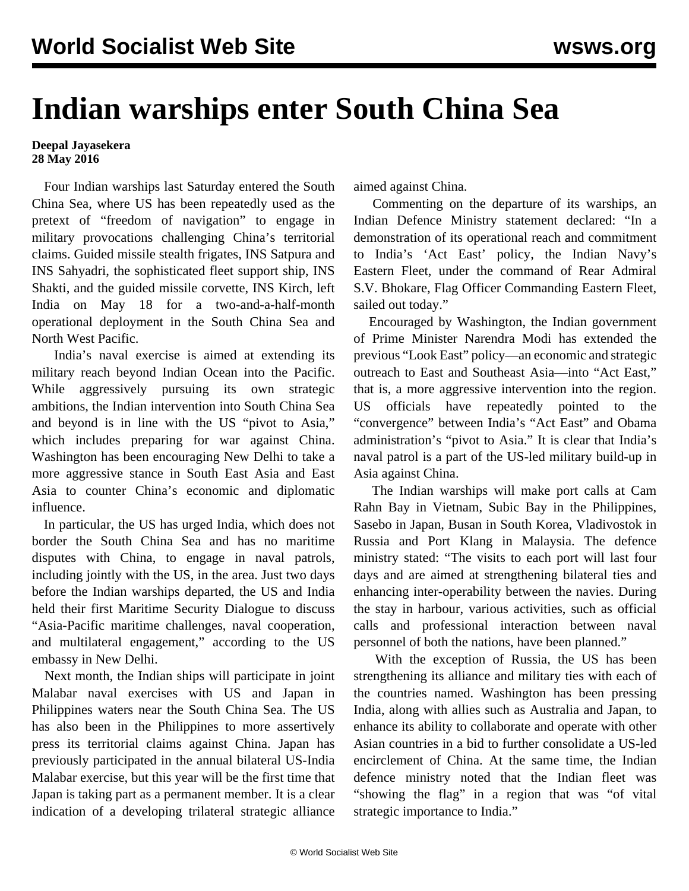## **Indian warships enter South China Sea**

## **Deepal Jayasekera 28 May 2016**

 Four Indian warships last Saturday entered the South China Sea, where US has been repeatedly used as the pretext of "freedom of navigation" to engage in military provocations challenging China's territorial claims. Guided missile stealth frigates, INS Satpura and INS Sahyadri, the sophisticated fleet support ship, INS Shakti, and the guided missile corvette, INS Kirch, left India on May 18 for a two-and-a-half-month operational deployment in the South China Sea and North West Pacific.

 India's naval exercise is aimed at extending its military reach beyond Indian Ocean into the Pacific. While aggressively pursuing its own strategic ambitions, the Indian intervention into South China Sea and beyond is in line with the US "pivot to Asia," which includes preparing for war against China. Washington has been encouraging New Delhi to take a more aggressive stance in South East Asia and East Asia to counter China's economic and diplomatic influence.

 In particular, the US has urged India, which does not border the South China Sea and has no maritime disputes with China, to engage in naval patrols, including jointly with the US, in the area. Just two days before the Indian warships departed, the US and India held their first Maritime Security Dialogue to discuss "Asia-Pacific maritime challenges, naval cooperation, and multilateral engagement," according to the US embassy in New Delhi.

 Next month, the Indian ships will participate in joint Malabar naval exercises with US and Japan in Philippines waters near the South China Sea. The US has also been in the Philippines to more assertively press its territorial claims against China. Japan has previously participated in the annual bilateral US-India Malabar exercise, but this year will be the first time that Japan is taking part as a permanent member. It is a clear indication of a developing trilateral strategic alliance

aimed against China.

 Commenting on the departure of its warships, an Indian Defence Ministry statement declared: "In a demonstration of its operational reach and commitment to India's 'Act East' policy, the Indian Navy's Eastern Fleet, under the command of Rear Admiral S.V. Bhokare, Flag Officer Commanding Eastern Fleet, sailed out today."

 Encouraged by Washington, the Indian government of Prime Minister Narendra Modi has extended the previous "Look East" policy—an economic and strategic outreach to East and Southeast Asia—into "Act East," that is, a more aggressive intervention into the region. US officials have repeatedly pointed to the "convergence" between India's "Act East" and Obama administration's "pivot to Asia." It is clear that India's naval patrol is a part of the US-led military build-up in Asia against China.

 The Indian warships will make port calls at Cam Rahn Bay in Vietnam, Subic Bay in the Philippines, Sasebo in Japan, Busan in South Korea, Vladivostok in Russia and Port Klang in Malaysia. The defence ministry stated: "The visits to each port will last four days and are aimed at strengthening bilateral ties and enhancing inter-operability between the navies. During the stay in harbour, various activities, such as official calls and professional interaction between naval personnel of both the nations, have been planned."

 With the exception of Russia, the US has been strengthening its alliance and military ties with each of the countries named. Washington has been pressing India, along with allies such as Australia and Japan, to enhance its ability to collaborate and operate with other Asian countries in a bid to further consolidate a US-led encirclement of China. At the same time, the Indian defence ministry noted that the Indian fleet was "showing the flag" in a region that was "of vital strategic importance to India."